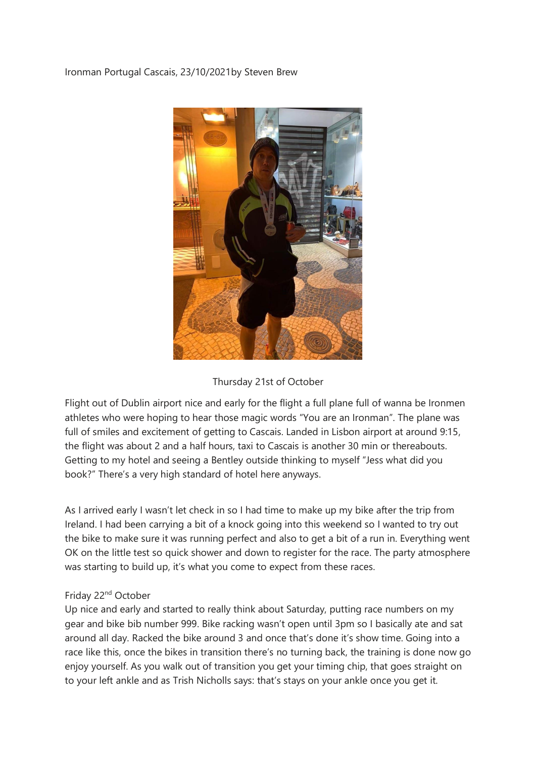## Ironman Portugal Cascais, 23/10/2021by Steven Brew



#### Thursday 21st of October

Flight out of Dublin airport nice and early for the flight a full plane full of wanna be Ironmen athletes who were hoping to hear those magic words "You are an Ironman". The plane was full of smiles and excitement of getting to Cascais. Landed in Lisbon airport at around 9:15, the flight was about 2 and a half hours, taxi to Cascais is another 30 min or thereabouts. Getting to my hotel and seeing a Bentley outside thinking to myself "Jess what did you book?" There's a very high standard of hotel here anyways.

As I arrived early I wasn't let check in so I had time to make up my bike after the trip from Ireland. I had been carrying a bit of a knock going into this weekend so I wanted to try out the bike to make sure it was running perfect and also to get a bit of a run in. Everything went OK on the little test so quick shower and down to register for the race. The party atmosphere was starting to build up, it's what you come to expect from these races.

#### Friday 22<sup>nd</sup> October

Up nice and early and started to really think about Saturday, putting race numbers on my gear and bike bib number 999. Bike racking wasn't open until 3pm so I basically ate and sat around all day. Racked the bike around 3 and once that's done it's show time. Going into a race like this, once the bikes in transition there's no turning back, the training is done now go enjoy yourself. As you walk out of transition you get your timing chip, that goes straight on to your left ankle and as Trish Nicholls says: that's stays on your ankle once you get it.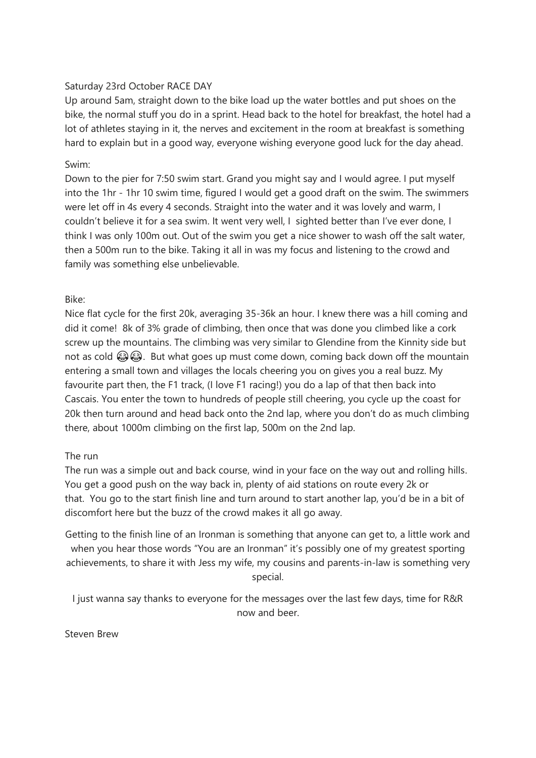## Saturday 23rd October RACE DAY

Up around 5am, straight down to the bike load up the water bottles and put shoes on the bike, the normal stuff you do in a sprint. Head back to the hotel for breakfast, the hotel had a lot of athletes staying in it, the nerves and excitement in the room at breakfast is something hard to explain but in a good way, everyone wishing everyone good luck for the day ahead.

## Swim:

Down to the pier for 7:50 swim start. Grand you might say and I would agree. I put myself into the 1hr - 1hr 10 swim time, figured I would get a good draft on the swim. The swimmers were let off in 4s every 4 seconds. Straight into the water and it was lovely and warm, I couldn't believe it for a sea swim. It went very well, I sighted better than I've ever done, I think I was only 100m out. Out of the swim you get a nice shower to wash off the salt water, then a 500m run to the bike. Taking it all in was my focus and listening to the crowd and family was something else unbelievable.

# Bike:

Nice flat cycle for the first 20k, averaging 35-36k an hour. I knew there was a hill coming and did it come! 8k of 3% grade of climbing, then once that was done you climbed like a cork screw up the mountains. The climbing was very similar to Glendine from the Kinnity side but not as cold  $\bigcirc$   $\bigcirc$ . But what goes up must come down, coming back down off the mountain entering a small town and villages the locals cheering you on gives you a real buzz. My favourite part then, the F1 track, (I love F1 racing!) you do a lap of that then back into Cascais. You enter the town to hundreds of people still cheering, you cycle up the coast for 20k then turn around and head back onto the 2nd lap, where you don't do as much climbing there, about 1000m climbing on the first lap, 500m on the 2nd lap.

## The run

The run was a simple out and back course, wind in your face on the way out and rolling hills. You get a good push on the way back in, plenty of aid stations on route every 2k or that. You go to the start finish line and turn around to start another lap, you'd be in a bit of discomfort here but the buzz of the crowd makes it all go away.

Getting to the finish line of an Ironman is something that anyone can get to, a little work and when you hear those words "You are an Ironman" it's possibly one of my greatest sporting achievements, to share it with Jess my wife, my cousins and parents-in-law is something very special.

I just wanna say thanks to everyone for the messages over the last few days, time for R&R now and beer.

Steven Brew